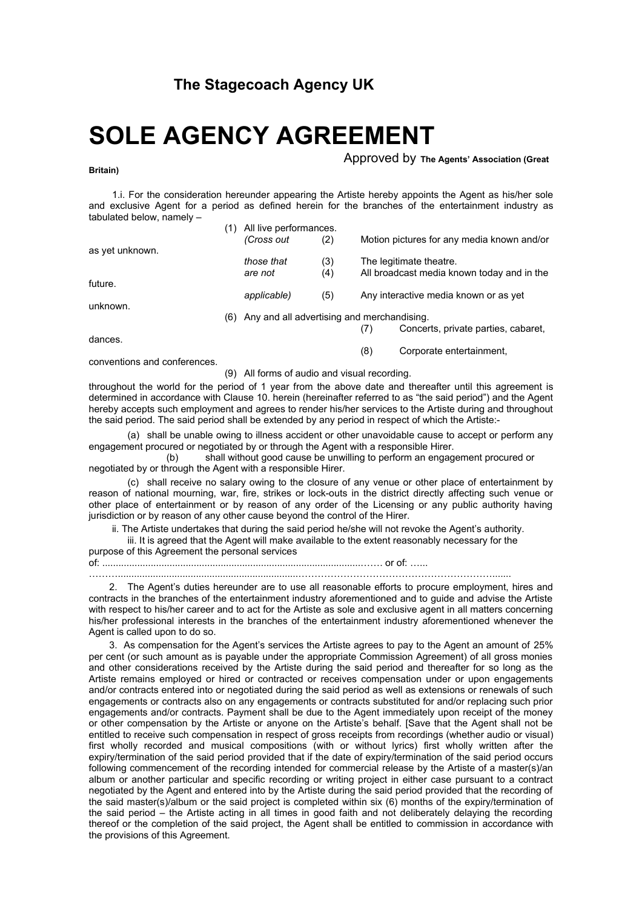## **SOLE AGENCY AGREEMENT**

Approved by **The Agents' Association (Great** 

(8) Corporate entertainment,

1.i. For the consideration hereunder appearing the Artiste hereby appoints the Agent as his/her sole and exclusive Agent for a period as defined herein for the branches of the entertainment industry as tabulated below, namely –

|                 | (1) | All live performances.                         |     |     |                                            |
|-----------------|-----|------------------------------------------------|-----|-----|--------------------------------------------|
|                 |     | (Cross out                                     | (2) |     | Motion pictures for any media known and/or |
| as yet unknown. |     |                                                |     |     |                                            |
|                 |     | those that                                     | (3) |     | The legitimate theatre.                    |
|                 |     | are not                                        | (4) |     | All broadcast media known today and in the |
| future.         |     |                                                |     |     |                                            |
|                 |     | applicable)                                    | (5) |     | Any interactive media known or as yet      |
| unknown.        |     |                                                |     |     |                                            |
|                 |     | (6) Any and all advertising and merchandising. |     |     |                                            |
|                 |     |                                                |     | (7) | Concerts, private parties, cabaret,        |
| dances.         |     |                                                |     |     |                                            |

conventions and conferences.

**Britain)** 

(9) All forms of audio and visual recording.

throughout the world for the period of 1 year from the above date and thereafter until this agreement is determined in accordance with Clause 10. herein (hereinafter referred to as "the said period") and the Agent hereby accepts such employment and agrees to render his/her services to the Artiste during and throughout the said period. The said period shall be extended by any period in respect of which the Artiste:-

(a) shall be unable owing to illness accident or other unavoidable cause to accept or perform any engagement procured or negotiated by or through the Agent with a responsible Hirer.

(b) shall without good cause be unwilling to perform an engagement procured or negotiated by or through the Agent with a responsible Hirer.

(c) shall receive no salary owing to the closure of any venue or other place of entertainment by reason of national mourning, war, fire, strikes or lock-outs in the district directly affecting such venue or other place of entertainment or by reason of any order of the Licensing or any public authority having jurisdiction or by reason of any other cause beyond the control of the Hirer.

ii. The Artiste undertakes that during the said period he/she will not revoke the Agent's authority.

iii. It is agreed that the Agent will make available to the extent reasonably necessary for the

purpose of this Agreement the personal services

of: ................................................................................................……. or of: …...

………...................................................................…………………………………………………….......

2. The Agent's duties hereunder are to use all reasonable efforts to procure employment, hires and contracts in the branches of the entertainment industry aforementioned and to guide and advise the Artiste with respect to his/her career and to act for the Artiste as sole and exclusive agent in all matters concerning his/her professional interests in the branches of the entertainment industry aforementioned whenever the Agent is called upon to do so.

3. As compensation for the Agent's services the Artiste agrees to pay to the Agent an amount of 25% per cent (or such amount as is payable under the appropriate Commission Agreement) of all gross monies and other considerations received by the Artiste during the said period and thereafter for so long as the Artiste remains employed or hired or contracted or receives compensation under or upon engagements and/or contracts entered into or negotiated during the said period as well as extensions or renewals of such engagements or contracts also on any engagements or contracts substituted for and/or replacing such prior engagements and/or contracts. Payment shall be due to the Agent immediately upon receipt of the money or other compensation by the Artiste or anyone on the Artiste's behalf. [Save that the Agent shall not be entitled to receive such compensation in respect of gross receipts from recordings (whether audio or visual) first wholly recorded and musical compositions (with or without lyrics) first wholly written after the expiry/termination of the said period provided that if the date of expiry/termination of the said period occurs following commencement of the recording intended for commercial release by the Artiste of a master(s)/an album or another particular and specific recording or writing project in either case pursuant to a contract negotiated by the Agent and entered into by the Artiste during the said period provided that the recording of the said master(s)/album or the said project is completed within six (6) months of the expiry/termination of the said period – the Artiste acting in all times in good faith and not deliberately delaying the recording thereof or the completion of the said project, the Agent shall be entitled to commission in accordance with the provisions of this Agreement.